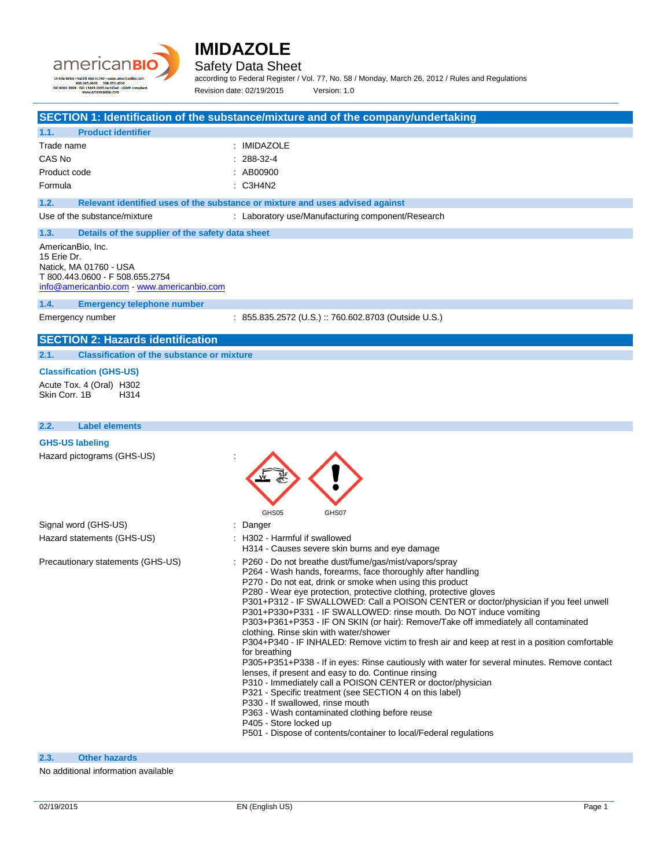



Safety Data Sheet

according to Federal Register / Vol. 77, No. 58 / Monday, March 26, 2012 / Rules and Regulations Revision date: 02/19/2015 Version: 1.0

**SECTION 1: Identification of the substance/mixture and of the company/undertaking**

| 1.1.         | <b>Product identifier</b> |                      |
|--------------|---------------------------|----------------------|
| Trade name   |                           | : IMIDAZOLE          |
| CAS No       |                           | $: 288-32-4$         |
| Product code |                           | $\therefore$ AB00900 |
| Formula      |                           | $\therefore$ C3H4N2  |

**1.2. Relevant identified uses of the substance or mixture and uses advised against**

Use of the substance/mixture : Laboratory use/Manufacturing component/Research

## **1.3. Details of the supplier of the safety data sheet**

AmericanBio, Inc. 15 Erie Dr. Natick, MA 01760 - USA T 800.443.0600 - F 508.655.2754 [info@americanbio.com](mailto:info@americanbio.com) - <www.americanbio.com>

#### **1.4. Emergency telephone number**

Emergency number : 855.835.2572 (U.S.) :: 760.602.8703 (Outside U.S.)

## **SECTION 2: Hazards identification**

**2.1. Classification of the substance or mixture**

#### **Classification (GHS-US)**

Acute Tox. 4 (Oral) H302 Skin Corr. 1B H314

#### **2.2. Label elements**

#### **GHS-US labeling**

| Hazard pictograms (GHS-US)        | GHS05<br>GHS07                                                                                                                                                                                                                                                                                                                                                                                                                                                                                                                                                                                                                                                                                                                                                                                                                                                                                                                                                                                                                                                                                                                                    |
|-----------------------------------|---------------------------------------------------------------------------------------------------------------------------------------------------------------------------------------------------------------------------------------------------------------------------------------------------------------------------------------------------------------------------------------------------------------------------------------------------------------------------------------------------------------------------------------------------------------------------------------------------------------------------------------------------------------------------------------------------------------------------------------------------------------------------------------------------------------------------------------------------------------------------------------------------------------------------------------------------------------------------------------------------------------------------------------------------------------------------------------------------------------------------------------------------|
| Signal word (GHS-US)              | : Danger                                                                                                                                                                                                                                                                                                                                                                                                                                                                                                                                                                                                                                                                                                                                                                                                                                                                                                                                                                                                                                                                                                                                          |
| Hazard statements (GHS-US)        | : H302 - Harmful if swallowed<br>H314 - Causes severe skin burns and eye damage                                                                                                                                                                                                                                                                                                                                                                                                                                                                                                                                                                                                                                                                                                                                                                                                                                                                                                                                                                                                                                                                   |
| Precautionary statements (GHS-US) | : P260 - Do not breathe dust/fume/gas/mist/vapors/spray<br>P264 - Wash hands, forearms, face thoroughly after handling<br>P270 - Do not eat, drink or smoke when using this product<br>P280 - Wear eye protection, protective clothing, protective gloves<br>P301+P312 - IF SWALLOWED: Call a POISON CENTER or doctor/physician if you feel unwell<br>P301+P330+P331 - IF SWALLOWED: rinse mouth. Do NOT induce vomiting<br>P303+P361+P353 - IF ON SKIN (or hair): Remove/Take off immediately all contaminated<br>clothing. Rinse skin with water/shower<br>P304+P340 - IF INHALED: Remove victim to fresh air and keep at rest in a position comfortable<br>for breathing<br>P305+P351+P338 - If in eyes: Rinse cautiously with water for several minutes. Remove contact<br>lenses, if present and easy to do. Continue rinsing<br>P310 - Immediately call a POISON CENTER or doctor/physician<br>P321 - Specific treatment (see SECTION 4 on this label)<br>P330 - If swallowed, rinse mouth<br>P363 - Wash contaminated clothing before reuse<br>P405 - Store locked up<br>P501 - Dispose of contents/container to local/Federal regulations |

**2.3. Other hazards**

No additional information available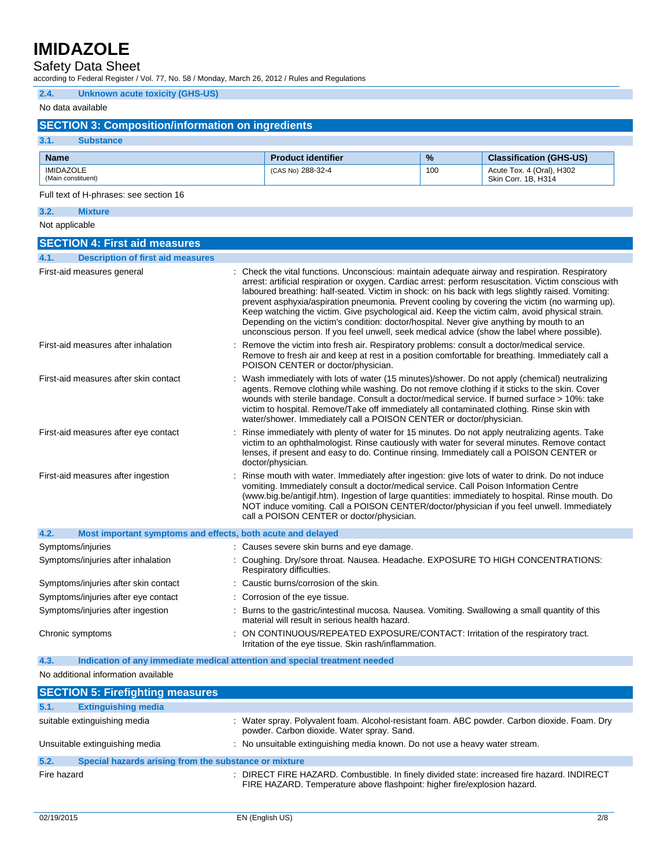Safety Data Sheet

according to Federal Register / Vol. 77, No. 58 / Monday, March 26, 2012 / Rules and Regulations

## **2.4. Unknown acute toxicity (GHS-US)**

## No data available

## **SECTION 3: Composition/information on ingredients**

#### **3.1. Substance**

| <b>Name</b>                            | <b>Product identifier</b> | $\frac{9}{6}$ | <b>Classification (GHS-US)</b>                   |
|----------------------------------------|---------------------------|---------------|--------------------------------------------------|
| <b>IMIDAZOLE</b><br>(Main constituent) | (CAS No) 288-32-4         | 100           | Acute Tox. 4 (Oral), H302<br>Skin Corr. 1B. H314 |

### Full text of H-phrases: see section 16

## **3.2. Mixture**

Not applicable

| <b>SECTION 4: First aid measures</b>                                |                                                                                                                                                                                                                                                                                                                                                                                                                                                                                                                                                                                                                                                                                                                 |
|---------------------------------------------------------------------|-----------------------------------------------------------------------------------------------------------------------------------------------------------------------------------------------------------------------------------------------------------------------------------------------------------------------------------------------------------------------------------------------------------------------------------------------------------------------------------------------------------------------------------------------------------------------------------------------------------------------------------------------------------------------------------------------------------------|
| 4.1.<br><b>Description of first aid measures</b>                    |                                                                                                                                                                                                                                                                                                                                                                                                                                                                                                                                                                                                                                                                                                                 |
| First-aid measures general                                          | : Check the vital functions. Unconscious: maintain adequate airway and respiration. Respiratory<br>arrest: artificial respiration or oxygen. Cardiac arrest: perform resuscitation. Victim conscious with<br>laboured breathing: half-seated. Victim in shock: on his back with legs slightly raised. Vomiting:<br>prevent asphyxia/aspiration pneumonia. Prevent cooling by covering the victim (no warming up).<br>Keep watching the victim. Give psychological aid. Keep the victim calm, avoid physical strain.<br>Depending on the victim's condition: doctor/hospital. Never give anything by mouth to an<br>unconscious person. If you feel unwell, seek medical advice (show the label where possible). |
| First-aid measures after inhalation                                 | Remove the victim into fresh air. Respiratory problems: consult a doctor/medical service.<br>Remove to fresh air and keep at rest in a position comfortable for breathing. Immediately call a<br>POISON CENTER or doctor/physician.                                                                                                                                                                                                                                                                                                                                                                                                                                                                             |
| First-aid measures after skin contact                               | Wash immediately with lots of water (15 minutes)/shower. Do not apply (chemical) neutralizing<br>agents. Remove clothing while washing. Do not remove clothing if it sticks to the skin. Cover<br>wounds with sterile bandage. Consult a doctor/medical service. If burned surface > 10%: take<br>victim to hospital. Remove/Take off immediately all contaminated clothing. Rinse skin with<br>water/shower. Immediately call a POISON CENTER or doctor/physician.                                                                                                                                                                                                                                             |
| First-aid measures after eye contact                                | Rinse immediately with plenty of water for 15 minutes. Do not apply neutralizing agents. Take<br>victim to an ophthalmologist. Rinse cautiously with water for several minutes. Remove contact<br>lenses, if present and easy to do. Continue rinsing. Immediately call a POISON CENTER or<br>doctor/physician.                                                                                                                                                                                                                                                                                                                                                                                                 |
| First-aid measures after ingestion                                  | Rinse mouth with water. Immediately after ingestion: give lots of water to drink. Do not induce<br>vomiting. Immediately consult a doctor/medical service. Call Poison Information Centre<br>(www.big.be/antigif.htm). Ingestion of large quantities: immediately to hospital. Rinse mouth. Do<br>NOT induce vomiting. Call a POISON CENTER/doctor/physician if you feel unwell. Immediately<br>call a POISON CENTER or doctor/physician.                                                                                                                                                                                                                                                                       |
| 4.2.<br>Most important symptoms and effects, both acute and delayed |                                                                                                                                                                                                                                                                                                                                                                                                                                                                                                                                                                                                                                                                                                                 |
| Symptoms/injuries                                                   | : Causes severe skin burns and eye damage.                                                                                                                                                                                                                                                                                                                                                                                                                                                                                                                                                                                                                                                                      |
| Symptoms/injuries after inhalation                                  | : Coughing. Dry/sore throat. Nausea. Headache. EXPOSURE TO HIGH CONCENTRATIONS:<br>Respiratory difficulties.                                                                                                                                                                                                                                                                                                                                                                                                                                                                                                                                                                                                    |
| Symptoms/injuries after skin contact                                | Caustic burns/corrosion of the skin.                                                                                                                                                                                                                                                                                                                                                                                                                                                                                                                                                                                                                                                                            |
| Symptoms/injuries after eye contact                                 | : Corrosion of the eye tissue.                                                                                                                                                                                                                                                                                                                                                                                                                                                                                                                                                                                                                                                                                  |
| Symptoms/injuries after ingestion                                   | : Burns to the gastric/intestinal mucosa. Nausea. Vomiting. Swallowing a small quantity of this<br>material will result in serious health hazard.                                                                                                                                                                                                                                                                                                                                                                                                                                                                                                                                                               |
| Chronic symptoms                                                    | ON CONTINUOUS/REPEATED EXPOSURE/CONTACT: Irritation of the respiratory tract.<br>Irritation of the eye tissue. Skin rash/inflammation.                                                                                                                                                                                                                                                                                                                                                                                                                                                                                                                                                                          |

**4.3. Indication of any immediate medical attention and special treatment needed**

No additional information available

| <b>SECTION 5: Firefighting measures</b>                       |                                                                                                                                                                         |
|---------------------------------------------------------------|-------------------------------------------------------------------------------------------------------------------------------------------------------------------------|
| 5.1.<br><b>Extinguishing media</b>                            |                                                                                                                                                                         |
| suitable extinguishing media                                  | : Water spray. Polyvalent foam. Alcohol-resistant foam. ABC powder. Carbon dioxide. Foam. Dry<br>powder. Carbon dioxide. Water spray. Sand.                             |
| Unsuitable extinguishing media                                | : No unsuitable extinguishing media known. Do not use a heavy water stream.                                                                                             |
| Special hazards arising from the substance or mixture<br>5.2. |                                                                                                                                                                         |
| Fire hazard                                                   | : DIRECT FIRE HAZARD. Combustible. In finely divided state: increased fire hazard. INDIRECT<br>FIRE HAZARD. Temperature above flashpoint: higher fire/explosion hazard. |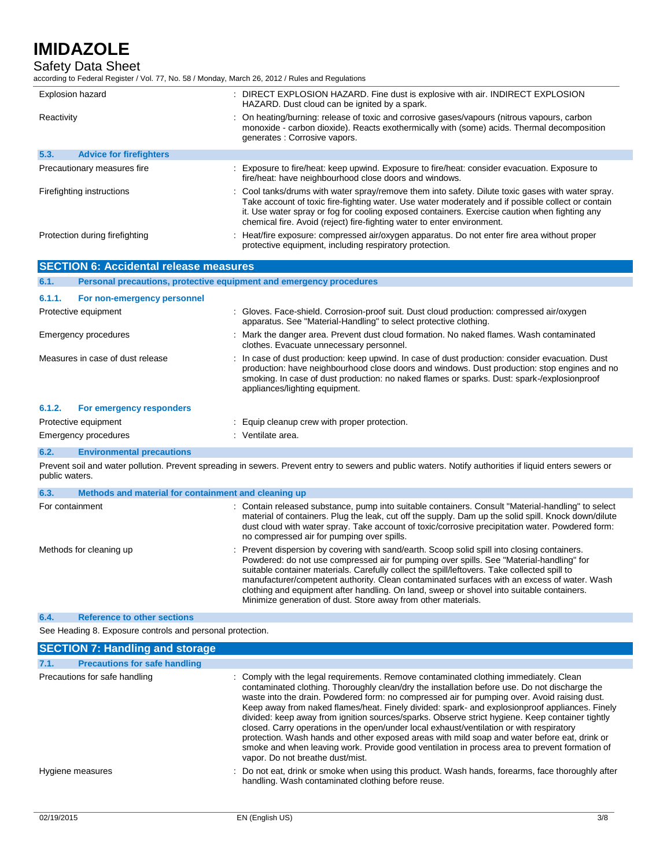Safety Data Sheet

according to Federal Register / Vol. 77, No. 58 / Monday, March 26, 2012 / Rules and Regulations

| <b>Explosion hazard</b>                | : DIRECT EXPLOSION HAZARD. Fine dust is explosive with air. INDIRECT EXPLOSION<br>HAZARD. Dust cloud can be ignited by a spark.                                                                                                                                                                                                                                                     |
|----------------------------------------|-------------------------------------------------------------------------------------------------------------------------------------------------------------------------------------------------------------------------------------------------------------------------------------------------------------------------------------------------------------------------------------|
| Reactivity                             | : On heating/burning: release of toxic and corrosive gases/vapours (nitrous vapours, carbon<br>monoxide - carbon dioxide). Reacts exothermically with (some) acids. Thermal decomposition<br>generates : Corrosive vapors.                                                                                                                                                          |
| 5.3.<br><b>Advice for firefighters</b> |                                                                                                                                                                                                                                                                                                                                                                                     |
| Precautionary measures fire            | : Exposure to fire/heat: keep upwind. Exposure to fire/heat: consider evacuation. Exposure to<br>fire/heat: have neighbourhood close doors and windows.                                                                                                                                                                                                                             |
| Firefighting instructions              | : Cool tanks/drums with water spray/remove them into safety. Dilute toxic gases with water spray.<br>Take account of toxic fire-fighting water. Use water moderately and if possible collect or contain<br>it. Use water spray or fog for cooling exposed containers. Exercise caution when fighting any<br>chemical fire. Avoid (reject) fire-fighting water to enter environment. |
| Protection during firefighting         | : Heat/fire exposure: compressed air/oxygen apparatus. Do not enter fire area without proper<br>protective equipment, including respiratory protection.                                                                                                                                                                                                                             |

| <b>SECTION 6: Accidental release measures</b>                                                                                                                             |                                                                     |                                                                                                                                                                                                                                                                                                                                                                                                                                                                                                                                                       |  |
|---------------------------------------------------------------------------------------------------------------------------------------------------------------------------|---------------------------------------------------------------------|-------------------------------------------------------------------------------------------------------------------------------------------------------------------------------------------------------------------------------------------------------------------------------------------------------------------------------------------------------------------------------------------------------------------------------------------------------------------------------------------------------------------------------------------------------|--|
| 6.1.                                                                                                                                                                      | Personal precautions, protective equipment and emergency procedures |                                                                                                                                                                                                                                                                                                                                                                                                                                                                                                                                                       |  |
| 6.1.1.                                                                                                                                                                    | For non-emergency personnel                                         |                                                                                                                                                                                                                                                                                                                                                                                                                                                                                                                                                       |  |
| Protective equipment                                                                                                                                                      |                                                                     | : Gloves. Face-shield. Corrosion-proof suit. Dust cloud production: compressed air/oxygen<br>apparatus. See "Material-Handling" to select protective clothing.                                                                                                                                                                                                                                                                                                                                                                                        |  |
|                                                                                                                                                                           | <b>Emergency procedures</b>                                         | Mark the danger area. Prevent dust cloud formation. No naked flames. Wash contaminated<br>clothes. Evacuate unnecessary personnel.                                                                                                                                                                                                                                                                                                                                                                                                                    |  |
|                                                                                                                                                                           | Measures in case of dust release                                    | : In case of dust production: keep upwind. In case of dust production: consider evacuation. Dust<br>production: have neighbourhood close doors and windows. Dust production: stop engines and no<br>smoking. In case of dust production: no naked flames or sparks. Dust: spark-/explosionproof<br>appliances/lighting equipment.                                                                                                                                                                                                                     |  |
| 6.1.2.                                                                                                                                                                    | For emergency responders                                            |                                                                                                                                                                                                                                                                                                                                                                                                                                                                                                                                                       |  |
|                                                                                                                                                                           | Protective equipment                                                | : Equip cleanup crew with proper protection.                                                                                                                                                                                                                                                                                                                                                                                                                                                                                                          |  |
|                                                                                                                                                                           | <b>Emergency procedures</b>                                         | : Ventilate area.                                                                                                                                                                                                                                                                                                                                                                                                                                                                                                                                     |  |
| 6.2.                                                                                                                                                                      | <b>Environmental precautions</b>                                    |                                                                                                                                                                                                                                                                                                                                                                                                                                                                                                                                                       |  |
| Prevent soil and water pollution. Prevent spreading in sewers. Prevent entry to sewers and public waters. Notify authorities if liquid enters sewers or<br>public waters. |                                                                     |                                                                                                                                                                                                                                                                                                                                                                                                                                                                                                                                                       |  |
| 6.3.                                                                                                                                                                      | Methods and material for containment and cleaning up                |                                                                                                                                                                                                                                                                                                                                                                                                                                                                                                                                                       |  |
| For containment                                                                                                                                                           |                                                                     | : Contain released substance, pump into suitable containers. Consult "Material-handling" to select<br>material of containers. Plug the leak, cut off the supply. Dam up the solid spill. Knock down/dilute<br>dust cloud with water spray. Take account of toxic/corrosive precipitation water. Powdered form:<br>no compressed air for pumping over spills.                                                                                                                                                                                          |  |
| Methods for cleaning up                                                                                                                                                   |                                                                     | : Prevent dispersion by covering with sand/earth. Scoop solid spill into closing containers.<br>Powdered: do not use compressed air for pumping over spills. See "Material-handling" for<br>suitable container materials. Carefully collect the spill/leftovers. Take collected spill to<br>manufacturer/competent authority. Clean contaminated surfaces with an excess of water. Wash<br>clothing and equipment after handling. On land, sweep or shovel into suitable containers.<br>Minimize generation of dust. Store away from other materials. |  |

## **6.4. Reference to other sections**

See Heading 8. Exposure controls and personal protection.

| <b>SECTION 7: Handling and storage</b>       |                                                                                                                                                                                                                                                                                                                                                                                                                                                                                                                                                                                                                                                                                                                                                                                                                              |
|----------------------------------------------|------------------------------------------------------------------------------------------------------------------------------------------------------------------------------------------------------------------------------------------------------------------------------------------------------------------------------------------------------------------------------------------------------------------------------------------------------------------------------------------------------------------------------------------------------------------------------------------------------------------------------------------------------------------------------------------------------------------------------------------------------------------------------------------------------------------------------|
| 7.1.<br><b>Precautions for safe handling</b> |                                                                                                                                                                                                                                                                                                                                                                                                                                                                                                                                                                                                                                                                                                                                                                                                                              |
| Precautions for safe handling                | : Comply with the legal requirements. Remove contaminated clothing immediately. Clean<br>contaminated clothing. Thoroughly clean/dry the installation before use. Do not discharge the<br>waste into the drain. Powdered form: no compressed air for pumping over. Avoid raising dust.<br>Keep away from naked flames/heat. Finely divided: spark- and explosionproof appliances. Finely<br>divided: keep away from ignition sources/sparks. Observe strict hygiene. Keep container tightly<br>closed. Carry operations in the open/under local exhaust/ventilation or with respiratory<br>protection. Wash hands and other exposed areas with mild soap and water before eat, drink or<br>smoke and when leaving work. Provide good ventilation in process area to prevent formation of<br>vapor. Do not breathe dust/mist. |
| Hygiene measures                             | : Do not eat, drink or smoke when using this product. Wash hands, forearms, face thoroughly after<br>handling. Wash contaminated clothing before reuse.                                                                                                                                                                                                                                                                                                                                                                                                                                                                                                                                                                                                                                                                      |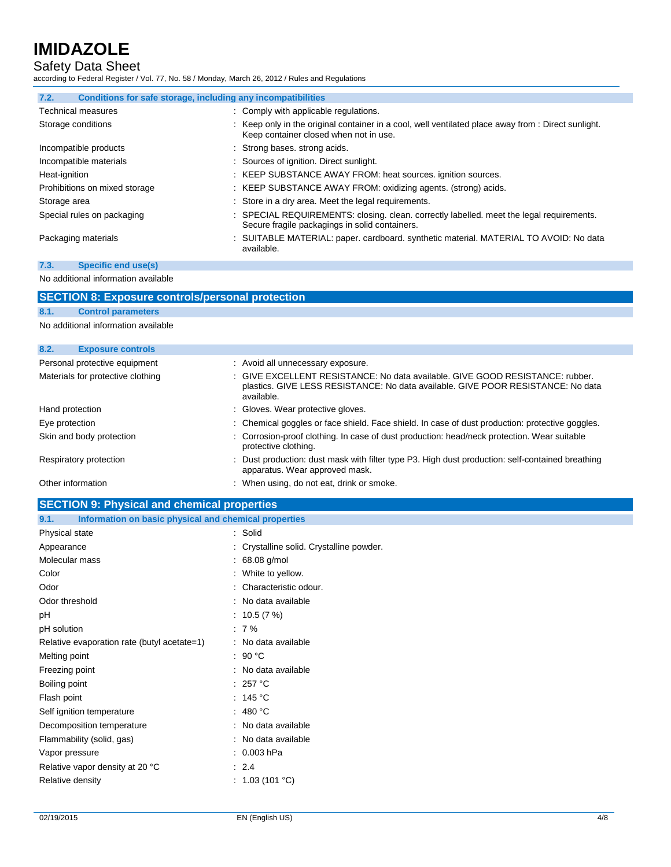# Safety Data Sheet

according to Federal Register / Vol. 77, No. 58 / Monday, March 26, 2012 / Rules and Regulations

| Conditions for safe storage, including any incompatibilities<br>7.2. |                                                                                                                                               |
|----------------------------------------------------------------------|-----------------------------------------------------------------------------------------------------------------------------------------------|
| <b>Technical measures</b>                                            | : Comply with applicable regulations.                                                                                                         |
| Storage conditions                                                   | : Keep only in the original container in a cool, well ventilated place away from : Direct sunlight.<br>Keep container closed when not in use. |
| Incompatible products                                                | : Strong bases, strong acids.                                                                                                                 |
| Incompatible materials                                               | : Sources of ignition. Direct sunlight.                                                                                                       |
| Heat-ignition                                                        | : KEEP SUBSTANCE AWAY FROM: heat sources. ignition sources.                                                                                   |
| Prohibitions on mixed storage                                        | : KEEP SUBSTANCE AWAY FROM: oxidizing agents. (strong) acids.                                                                                 |
| Storage area                                                         | : Store in a dry area. Meet the legal requirements.                                                                                           |
| Special rules on packaging                                           | : SPECIAL REQUIREMENTS: closing. clean. correctly labelled. meet the legal requirements.<br>Secure fragile packagings in solid containers.    |
| Packaging materials                                                  | : SUITABLE MATERIAL: paper. cardboard. synthetic material. MATERIAL TO AVOID: No data<br>available.                                           |

## **7.3. Specific end use(s)**

No additional information available

| <b>SECTION 8: Exposure controls/personal protection</b> |                                     |  |                                                                                                                                                                                 |  |
|---------------------------------------------------------|-------------------------------------|--|---------------------------------------------------------------------------------------------------------------------------------------------------------------------------------|--|
| 8.1.                                                    | <b>Control parameters</b>           |  |                                                                                                                                                                                 |  |
|                                                         | No additional information available |  |                                                                                                                                                                                 |  |
|                                                         |                                     |  |                                                                                                                                                                                 |  |
| 8.2.                                                    | <b>Exposure controls</b>            |  |                                                                                                                                                                                 |  |
|                                                         | Personal protective equipment       |  | : Avoid all unnecessary exposure.                                                                                                                                               |  |
|                                                         | Materials for protective clothing   |  | : GIVE EXCELLENT RESISTANCE: No data available. GIVE GOOD RESISTANCE: rubber.<br>plastics. GIVE LESS RESISTANCE: No data available. GIVE POOR RESISTANCE: No data<br>available. |  |
| Hand protection                                         |                                     |  | : Gloves. Wear protective gloves.                                                                                                                                               |  |
| Eye protection                                          |                                     |  | : Chemical goggles or face shield. Face shield. In case of dust production: protective goggles.                                                                                 |  |
|                                                         | Skin and body protection            |  | : Corrosion-proof clothing. In case of dust production: head/neck protection. Wear suitable<br>protective clothing.                                                             |  |
|                                                         | Respiratory protection              |  | : Dust production: dust mask with filter type P3. High dust production: self-contained breathing<br>apparatus. Wear approved mask.                                              |  |
| Other information                                       |                                     |  | : When using, do not eat, drink or smoke.                                                                                                                                       |  |

# **SECTION 9: Physical and chemical properties**

| Information on basic physical and chemical properties<br>9.1. |                                          |
|---------------------------------------------------------------|------------------------------------------|
| Physical state                                                | : Solid                                  |
| Appearance                                                    | : Crystalline solid. Crystalline powder. |
| Molecular mass                                                | $: 68.08$ g/mol                          |
| Color                                                         | : White to yellow.                       |
| Odor                                                          | : Characteristic odour.                  |
| Odor threshold                                                | : No data available                      |
| pH                                                            | : 10.5 $(7%)$                            |
| pH solution                                                   | $: 7\%$                                  |
| Relative evaporation rate (butyl acetate=1)                   | : No data available                      |
| Melting point                                                 | : 90 $^{\circ}$ C                        |
| Freezing point                                                | : No data available                      |
| Boiling point                                                 | : 257 °C                                 |
| Flash point                                                   | : 145 $^{\circ}$ C                       |
| Self ignition temperature                                     | : 480 °C                                 |
| Decomposition temperature                                     | : No data available                      |
| Flammability (solid, gas)                                     | : No data available                      |
| Vapor pressure                                                | $: 0.003$ hPa                            |
| Relative vapor density at 20 °C                               | $\therefore$ 2.4                         |
| Relative density                                              | : $1.03(101 °C)$                         |
|                                                               |                                          |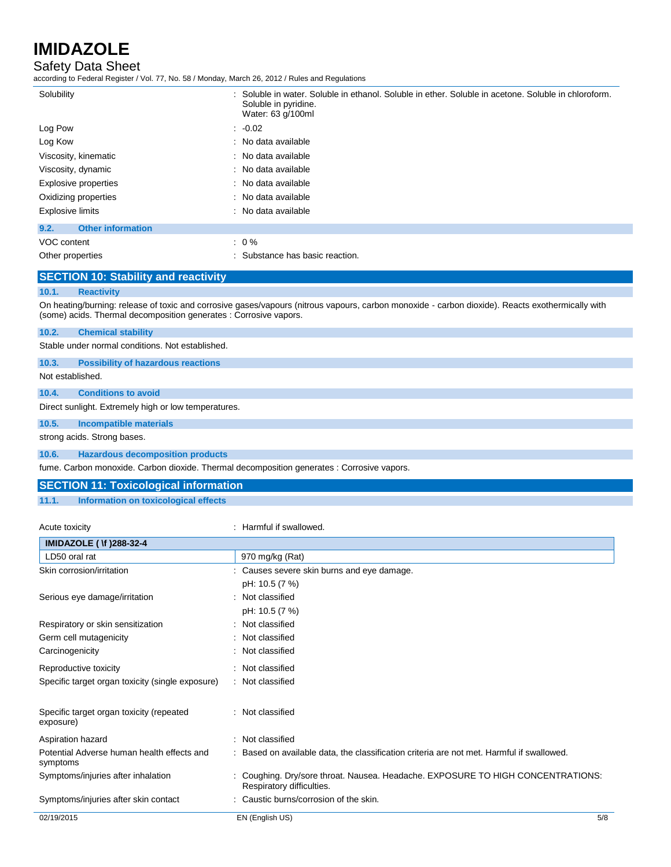# Safety Data Sheet

according to Federal Register / Vol. 77, No. 58 / Monday, March 26, 2012 / Rules and Regulations

| Solubility                       | : Soluble in water. Soluble in ethanol. Soluble in ether. Soluble in acetone. Soluble in chloroform.<br>Soluble in pyridine.<br>Water: 63 g/100ml |
|----------------------------------|---------------------------------------------------------------------------------------------------------------------------------------------------|
| Log Pow                          | $: -0.02$                                                                                                                                         |
| Log Kow                          | : No data available                                                                                                                               |
| Viscosity, kinematic             | : No data available                                                                                                                               |
| Viscosity, dynamic               | : No data available                                                                                                                               |
| Explosive properties             | : No data available                                                                                                                               |
| Oxidizing properties             | : No data available                                                                                                                               |
| <b>Explosive limits</b>          | : No data available                                                                                                                               |
| 9.2.<br><b>Other information</b> |                                                                                                                                                   |
| VOC content                      | $: 0\%$                                                                                                                                           |
| Other properties                 | : Substance has basic reaction.                                                                                                                   |

## **SECTION 10: Stability and reactivity**

#### **10.1. Reactivity**

On heating/burning: release of toxic and corrosive gases/vapours (nitrous vapours, carbon monoxide - carbon dioxide). Reacts exothermically with (some) acids. Thermal decomposition generates : Corrosive vapors.

#### **10.2. Chemical stability**

Stable under normal conditions. Not established.

#### **10.3. Possibility of hazardous reactions**

Not established.

#### **10.4. Conditions to avoid**

Direct sunlight. Extremely high or low temperatures.

### **10.5. Incompatible materials**

strong acids. Strong bases.

#### **10.6. Hazardous decomposition products**

fume. Carbon monoxide. Carbon dioxide. Thermal decomposition generates : Corrosive vapors.

# **SECTION 11: Toxicological information**

#### **11.1. Information on toxicological effects**

| Acute toxicity                                         | : Harmful if swallowed.                                                                                      |     |
|--------------------------------------------------------|--------------------------------------------------------------------------------------------------------------|-----|
| <b>IMIDAZOLE ( \f )288-32-4</b>                        |                                                                                                              |     |
| LD50 oral rat                                          | 970 mg/kg (Rat)                                                                                              |     |
| Skin corrosion/irritation                              | : Causes severe skin burns and eye damage.                                                                   |     |
|                                                        | pH: 10.5 (7 %)                                                                                               |     |
| Serious eye damage/irritation                          | : Not classified                                                                                             |     |
|                                                        | pH: 10.5 (7 %)                                                                                               |     |
| Respiratory or skin sensitization                      | : Not classified                                                                                             |     |
| Germ cell mutagenicity                                 | : Not classified                                                                                             |     |
| Carcinogenicity                                        | : Not classified                                                                                             |     |
| Reproductive toxicity                                  | : Not classified                                                                                             |     |
| Specific target organ toxicity (single exposure)       | : Not classified                                                                                             |     |
| Specific target organ toxicity (repeated<br>exposure)  | : Not classified                                                                                             |     |
| Aspiration hazard                                      | : Not classified                                                                                             |     |
| Potential Adverse human health effects and<br>symptoms | : Based on available data, the classification criteria are not met. Harmful if swallowed.                    |     |
| Symptoms/injuries after inhalation                     | : Coughing. Dry/sore throat. Nausea. Headache. EXPOSURE TO HIGH CONCENTRATIONS:<br>Respiratory difficulties. |     |
| Symptoms/injuries after skin contact                   | : Caustic burns/corrosion of the skin.                                                                       |     |
| 02/19/2015                                             | EN (English US)                                                                                              | 5/8 |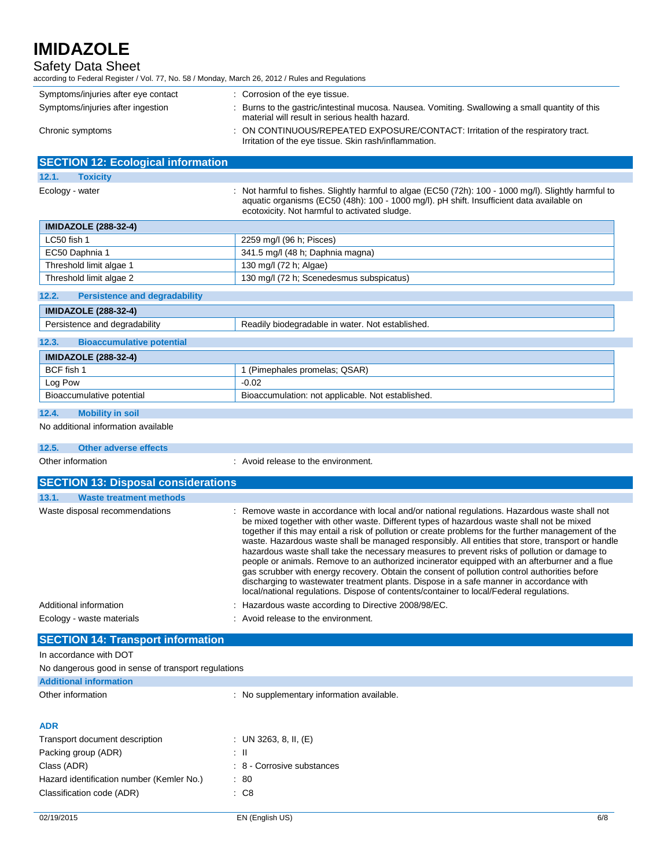| <b>IMIDAZOLE</b><br>Safety Data Sheet                                                            |                                                                                                                                                                                                                                                                                                                                                                                                                                                                                                                                                                                                                                                                                                                                                                                                                                                                                                   |  |  |
|--------------------------------------------------------------------------------------------------|---------------------------------------------------------------------------------------------------------------------------------------------------------------------------------------------------------------------------------------------------------------------------------------------------------------------------------------------------------------------------------------------------------------------------------------------------------------------------------------------------------------------------------------------------------------------------------------------------------------------------------------------------------------------------------------------------------------------------------------------------------------------------------------------------------------------------------------------------------------------------------------------------|--|--|
| according to Federal Register / Vol. 77, No. 58 / Monday, March 26, 2012 / Rules and Regulations |                                                                                                                                                                                                                                                                                                                                                                                                                                                                                                                                                                                                                                                                                                                                                                                                                                                                                                   |  |  |
| Symptoms/injuries after eye contact<br>Symptoms/injuries after ingestion                         | : Corrosion of the eye tissue.<br>: Burns to the gastric/intestinal mucosa. Nausea. Vomiting. Swallowing a small quantity of this                                                                                                                                                                                                                                                                                                                                                                                                                                                                                                                                                                                                                                                                                                                                                                 |  |  |
|                                                                                                  | material will result in serious health hazard.                                                                                                                                                                                                                                                                                                                                                                                                                                                                                                                                                                                                                                                                                                                                                                                                                                                    |  |  |
| Chronic symptoms                                                                                 | ON CONTINUOUS/REPEATED EXPOSURE/CONTACT: Irritation of the respiratory tract.<br>Irritation of the eye tissue. Skin rash/inflammation.                                                                                                                                                                                                                                                                                                                                                                                                                                                                                                                                                                                                                                                                                                                                                            |  |  |
| <b>SECTION 12: Ecological information</b>                                                        |                                                                                                                                                                                                                                                                                                                                                                                                                                                                                                                                                                                                                                                                                                                                                                                                                                                                                                   |  |  |
| 12.1.<br><b>Toxicity</b>                                                                         |                                                                                                                                                                                                                                                                                                                                                                                                                                                                                                                                                                                                                                                                                                                                                                                                                                                                                                   |  |  |
| Ecology - water                                                                                  | Not harmful to fishes. Slightly harmful to algae (EC50 (72h): 100 - 1000 mg/l). Slightly harmful to<br>aquatic organisms (EC50 (48h): 100 - 1000 mg/l). pH shift. Insufficient data available on<br>ecotoxicity. Not harmful to activated sludge.                                                                                                                                                                                                                                                                                                                                                                                                                                                                                                                                                                                                                                                 |  |  |
| <b>IMIDAZOLE (288-32-4)</b>                                                                      |                                                                                                                                                                                                                                                                                                                                                                                                                                                                                                                                                                                                                                                                                                                                                                                                                                                                                                   |  |  |
| LC50 fish 1                                                                                      | 2259 mg/l (96 h; Pisces)                                                                                                                                                                                                                                                                                                                                                                                                                                                                                                                                                                                                                                                                                                                                                                                                                                                                          |  |  |
| EC50 Daphnia 1                                                                                   | 341.5 mg/l (48 h; Daphnia magna)                                                                                                                                                                                                                                                                                                                                                                                                                                                                                                                                                                                                                                                                                                                                                                                                                                                                  |  |  |
| Threshold limit algae 1                                                                          | 130 mg/l (72 h; Algae)                                                                                                                                                                                                                                                                                                                                                                                                                                                                                                                                                                                                                                                                                                                                                                                                                                                                            |  |  |
| Threshold limit algae 2                                                                          | 130 mg/l (72 h; Scenedesmus subspicatus)                                                                                                                                                                                                                                                                                                                                                                                                                                                                                                                                                                                                                                                                                                                                                                                                                                                          |  |  |
| 12.2.<br><b>Persistence and degradability</b>                                                    |                                                                                                                                                                                                                                                                                                                                                                                                                                                                                                                                                                                                                                                                                                                                                                                                                                                                                                   |  |  |
| <b>IMIDAZOLE (288-32-4)</b>                                                                      |                                                                                                                                                                                                                                                                                                                                                                                                                                                                                                                                                                                                                                                                                                                                                                                                                                                                                                   |  |  |
| Persistence and degradability                                                                    | Readily biodegradable in water. Not established.                                                                                                                                                                                                                                                                                                                                                                                                                                                                                                                                                                                                                                                                                                                                                                                                                                                  |  |  |
| <b>Bioaccumulative potential</b><br>12.3.                                                        |                                                                                                                                                                                                                                                                                                                                                                                                                                                                                                                                                                                                                                                                                                                                                                                                                                                                                                   |  |  |
| <b>IMIDAZOLE (288-32-4)</b>                                                                      |                                                                                                                                                                                                                                                                                                                                                                                                                                                                                                                                                                                                                                                                                                                                                                                                                                                                                                   |  |  |
| BCF fish 1                                                                                       | 1 (Pimephales promelas; QSAR)                                                                                                                                                                                                                                                                                                                                                                                                                                                                                                                                                                                                                                                                                                                                                                                                                                                                     |  |  |
| Log Pow                                                                                          | $-0.02$                                                                                                                                                                                                                                                                                                                                                                                                                                                                                                                                                                                                                                                                                                                                                                                                                                                                                           |  |  |
| Bioaccumulative potential                                                                        | Bioaccumulation: not applicable. Not established.                                                                                                                                                                                                                                                                                                                                                                                                                                                                                                                                                                                                                                                                                                                                                                                                                                                 |  |  |
| 12.4.<br><b>Mobility in soil</b>                                                                 |                                                                                                                                                                                                                                                                                                                                                                                                                                                                                                                                                                                                                                                                                                                                                                                                                                                                                                   |  |  |
| No additional information available                                                              |                                                                                                                                                                                                                                                                                                                                                                                                                                                                                                                                                                                                                                                                                                                                                                                                                                                                                                   |  |  |
| 12.5.<br><b>Other adverse effects</b>                                                            |                                                                                                                                                                                                                                                                                                                                                                                                                                                                                                                                                                                                                                                                                                                                                                                                                                                                                                   |  |  |
| Other information                                                                                | : Avoid release to the environment.                                                                                                                                                                                                                                                                                                                                                                                                                                                                                                                                                                                                                                                                                                                                                                                                                                                               |  |  |
| <b>SECTION 13: Disposal considerations</b>                                                       |                                                                                                                                                                                                                                                                                                                                                                                                                                                                                                                                                                                                                                                                                                                                                                                                                                                                                                   |  |  |
| 13.1.<br><b>Waste treatment methods</b>                                                          |                                                                                                                                                                                                                                                                                                                                                                                                                                                                                                                                                                                                                                                                                                                                                                                                                                                                                                   |  |  |
| Waste disposal recommendations                                                                   | : Remove waste in accordance with local and/or national regulations. Hazardous waste shall not<br>be mixed together with other waste. Different types of hazardous waste shall not be mixed<br>together if this may entail a risk of pollution or create problems for the further management of the<br>waste. Hazardous waste shall be managed responsibly. All entities that store, transport or handle<br>hazardous waste shall take the necessary measures to prevent risks of pollution or damage to<br>people or animals. Remove to an authorized incinerator equipped with an afterburner and a flue<br>gas scrubber with energy recovery. Obtain the consent of pollution control authorities before<br>discharging to wastewater treatment plants. Dispose in a safe manner in accordance with<br>local/national regulations. Dispose of contents/container to local/Federal regulations. |  |  |
| Additional information                                                                           | : Hazardous waste according to Directive 2008/98/EC.                                                                                                                                                                                                                                                                                                                                                                                                                                                                                                                                                                                                                                                                                                                                                                                                                                              |  |  |
| Ecology - waste materials                                                                        | : Avoid release to the environment.                                                                                                                                                                                                                                                                                                                                                                                                                                                                                                                                                                                                                                                                                                                                                                                                                                                               |  |  |
| <b>SECTION 14: Transport information</b>                                                         |                                                                                                                                                                                                                                                                                                                                                                                                                                                                                                                                                                                                                                                                                                                                                                                                                                                                                                   |  |  |
| In accordance with DOT                                                                           |                                                                                                                                                                                                                                                                                                                                                                                                                                                                                                                                                                                                                                                                                                                                                                                                                                                                                                   |  |  |
| No dangerous good in sense of transport regulations                                              |                                                                                                                                                                                                                                                                                                                                                                                                                                                                                                                                                                                                                                                                                                                                                                                                                                                                                                   |  |  |
| <b>Additional information</b>                                                                    |                                                                                                                                                                                                                                                                                                                                                                                                                                                                                                                                                                                                                                                                                                                                                                                                                                                                                                   |  |  |
| Other information                                                                                | : No supplementary information available.                                                                                                                                                                                                                                                                                                                                                                                                                                                                                                                                                                                                                                                                                                                                                                                                                                                         |  |  |
| <b>ADR</b>                                                                                       |                                                                                                                                                                                                                                                                                                                                                                                                                                                                                                                                                                                                                                                                                                                                                                                                                                                                                                   |  |  |
|                                                                                                  | : UN 3263, 8, II, $(E)$                                                                                                                                                                                                                                                                                                                                                                                                                                                                                                                                                                                                                                                                                                                                                                                                                                                                           |  |  |

| <b>Hansport gocurrent gescription</b>     | . UN 3203, 0, 11, IET      |
|-------------------------------------------|----------------------------|
| Packing group (ADR)                       | : II                       |
| Class (ADR)                               | : 8 - Corrosive substances |
| Hazard identification number (Kemler No.) | : 80                       |
| Classification code (ADR)                 | $\cdot$ C8                 |
|                                           |                            |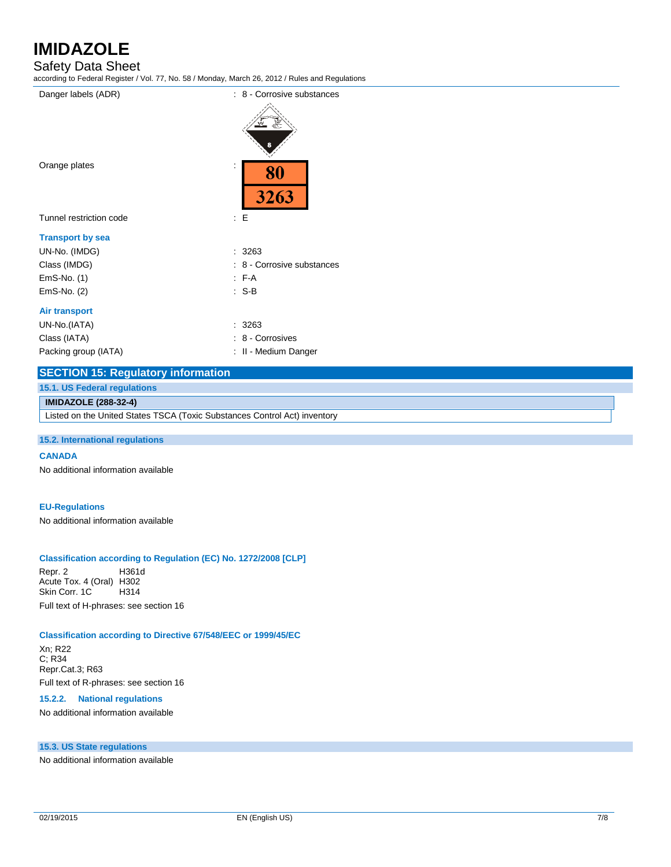# Safety Data Sheet

| Danger labels (ADR)                       | : 8 - Corrosive substances |
|-------------------------------------------|----------------------------|
|                                           |                            |
|                                           |                            |
|                                           |                            |
| Orange plates                             | 80                         |
|                                           | 3263                       |
| Tunnel restriction code                   | : E                        |
| <b>Transport by sea</b>                   |                            |
| UN-No. (IMDG)                             | : 3263                     |
| Class (IMDG)                              | : 8 - Corrosive substances |
| $EmS-No.$ (1)                             | $F-A$                      |
| EmS-No. (2)                               | $: S-B$                    |
| <b>Air transport</b>                      |                            |
| UN-No.(IATA)                              | : 3263                     |
| Class (IATA)                              | : 8 - Corrosives           |
| Packing group (IATA)                      | : II - Medium Danger       |
| <b>SECTION 15: Regulatory information</b> |                            |

## **15.1. US Federal regulations**

#### **IMIDAZOLE (288-32-4)**

Listed on the United States TSCA (Toxic Substances Control Act) inventory

#### **15.2. International regulations**

#### **CANADA**

No additional information available

## **EU-Regulations**

No additional information available

#### **Classification according to Regulation (EC) No. 1272/2008 [CLP]**

Repr. 2 H361d Acute Tox. 4 (Oral) H302 Skin Corr. 1C H314 Full text of H-phrases: see section 16

#### **Classification according to Directive 67/548/EEC or 1999/45/EC**

Xn; R22 C; R34 Repr.Cat.3; R63 Full text of R-phrases: see section 16

#### **15.2.2. National regulations**

No additional information available

## **15.3. US State regulations**

No additional information available